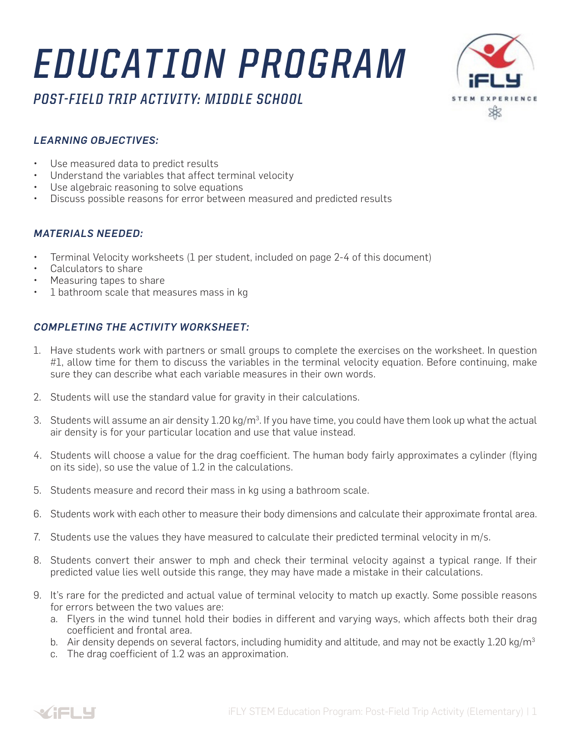# *EDUCATION PROGRAM*



### *POST-FIELD TRIP ACTIVITY: MIDDLE SCHOOL*

#### *LEARNING OBJECTIVES:*

- Use measured data to predict results
- Understand the variables that affect terminal velocity
- Use algebraic reasoning to solve equations
- Discuss possible reasons for error between measured and predicted results

#### *MATERIALS NEEDED:*

- Terminal Velocity worksheets (1 per student, included on page 2-4 of this document)
- Calculators to share
- Measuring tapes to share
- 1 bathroom scale that measures mass in kg

#### *COMPLETING THE ACTIVITY WORKSHEET:*

- 1. Have students work with partners or small groups to complete the exercises on the worksheet. In question #1, allow time for them to discuss the variables in the terminal velocity equation. Before continuing, make sure they can describe what each variable measures in their own words.
- 2. Students will use the standard value for gravity in their calculations.
- 3. Students will assume an air density  $1.20$  kg/m $^3$ . If you have time, you could have them look up what the actual air density is for your particular location and use that value instead.
- 4. Students will choose a value for the drag coefficient. The human body fairly approximates a cylinder (flying on its side), so use the value of 1.2 in the calculations.
- 5. Students measure and record their mass in kg using a bathroom scale.
- 6. Students work with each other to measure their body dimensions and calculate their approximate frontal area.
- 7. Students use the values they have measured to calculate their predicted terminal velocity in m/s.
- 8. Students convert their answer to mph and check their terminal velocity against a typical range. If their predicted value lies well outside this range, they may have made a mistake in their calculations.
- 9. It's rare for the predicted and actual value of terminal velocity to match up exactly. Some possible reasons for errors between the two values are:
	- a. Flyers in the wind tunnel hold their bodies in different and varying ways, which affects both their drag coefficient and frontal area.
	- b. Air density depends on several factors, including humidity and altitude, and may not be exactly 1.20 kg/m<sup>3</sup>
	- c. The drag coefficient of 1.2 was an approximation.

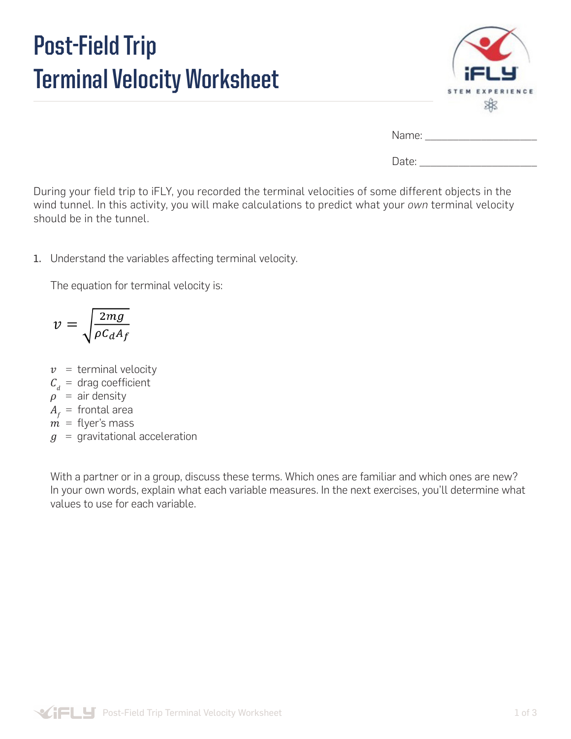## **Post-Field Trip Terminal Velocity Worksheet**



| Name: |  |
|-------|--|
| Date: |  |

During your field trip to iFLY, you recorded the terminal velocities of some different objects in the wind tunnel. In this activity, you will make calculations to predict what your *own* terminal velocity should be in the tunnel.

1. Understand the variables affecting terminal velocity.

The equation for terminal velocity is:

$$
v = \sqrt{\frac{2mg}{\rho C_d A_f}}
$$

- $v =$  terminal velocity
- $C_d$  = drag coefficient
- $\rho^{\dagger}$  = air density
- $A<sub>f</sub>$  = frontal area
- $\vec{m}$  = flyer's mass
- $g =$  gravitational acceleration

With a partner or in a group, discuss these terms. Which ones are familiar and which ones are new? In your own words, explain what each variable measures. In the next exercises, you'll determine what values to use for each variable.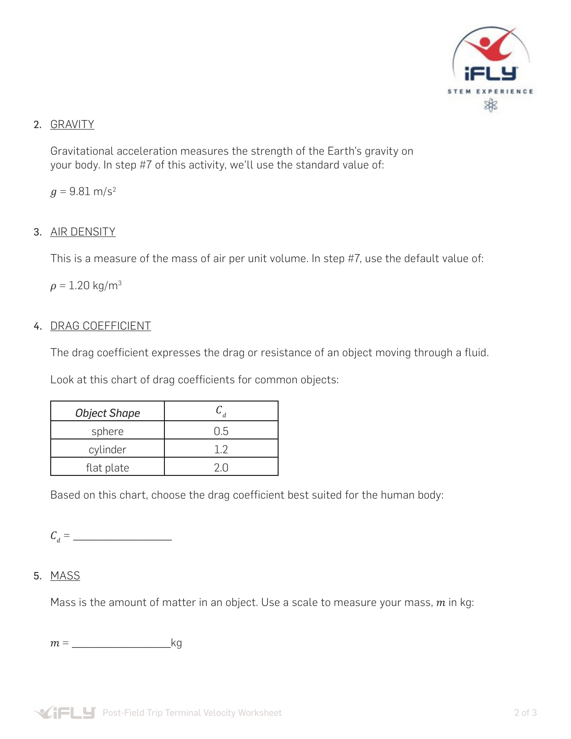

#### 2. GRAVITY

Gravitational acceleration measures the strength of the Earth's gravity on your body. In step #7 of this activity, we'll use the standard value of:

 $q = 9.81$  m/s<sup>2</sup>

#### 3. AIR DENSITY

This is a measure of the mass of air per unit volume. In step #7, use the default value of:

 $\rho = 1.20$  kg/m<sup>3</sup>

#### 4. DRAG COEFFICIENT

The drag coefficient expresses the drag or resistance of an object moving through a fluid.

Look at this chart of drag coefficients for common objects:

| <b>Object Shape</b> |      |  |  |
|---------------------|------|--|--|
| sphere              | ר! ו |  |  |
| cylinder            |      |  |  |
| flat plate          |      |  |  |

Based on this chart, choose the drag coefficient best suited for the human body:

 $C_d = \_$ 

#### 5. MASS

Mass is the amount of matter in an object. Use a scale to measure your mass,  $m$  in kg:

 $m =$  kg